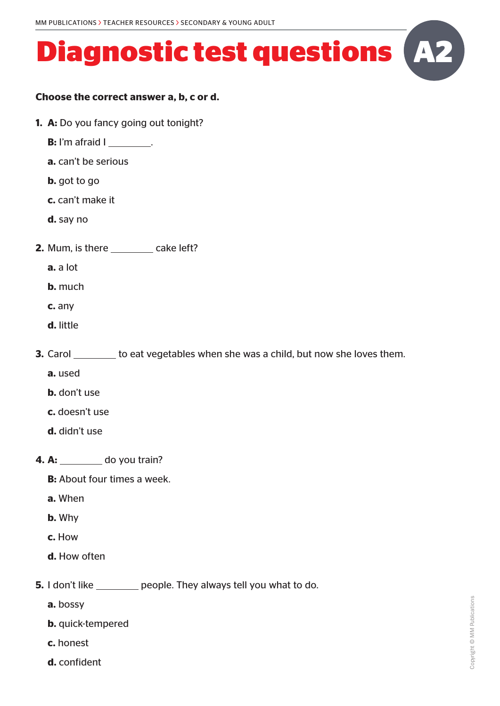#### **Choose the correct answer a, b, c or d.**

- **1. A:** Do you fancy going out tonight?
	- **B:** I'm afraid I \_\_\_\_\_\_\_\_.
	- **a.** can't be serious
	- **b.** got to go
	- **c.** can't make it
	- **d.** say no
- **2.** Mum, is there \_\_\_\_\_\_\_\_ cake left?
	- **a.** a lot
	- **b.** much
	- **c.** any
	- **d.** little
- **3.** Carol to eat vegetables when she was a child, but now she loves them.
	- **a.** used
	- **b.** don't use
	- **c.** doesn't use
	- **d.** didn't use
- **4. A:** do you train?
	- **B:** About four times a week.
	- **a.** When
	- **b.** Why
	- **c.** How
	- **d.** How often
- **5.** I don't like **people.** They always tell you what to do.
	- **a.** bossy
	- **b.** quick-tempered
	- **c.** honest
	- **d.** confident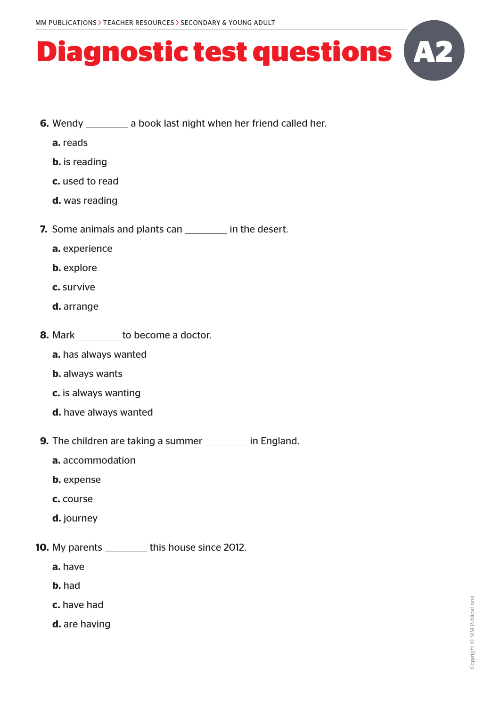- **6.** Wendy a book last night when her friend called her.
	- **a.** reads
	- **b.** is reading
	- **c.** used to read
	- **d.** was reading
- **7.** Some animals and plants can **in the desert.** 
	- **a.** experience
	- **b.** explore
	- **c.** survive
	- **d.** arrange
- **8.** Mark to become a doctor.
	- **a.** has always wanted
	- **b.** always wants
	- **c.** is always wanting
	- **d.** have always wanted
- **9.** The children are taking a summer in England.
	- **a.** accommodation
	- **b.** expense
	- **c.** course
	- **d.** journey
- **10.** My parents this house since 2012.
	- **a.** have
	- **b.** had
	- **c.** have had
	- **d.** are having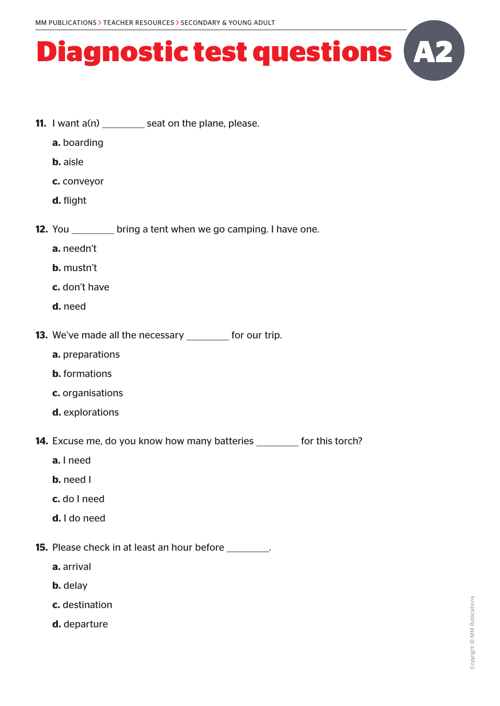- **11.** I want a(n) seat on the plane, please.
	- **a.** boarding
	- **b.** aisle
	- **c.** conveyor
	- **d.** flight
- **12.** You bring a tent when we go camping. I have one.
	- **a.** needn't
	- **b.** mustn't
	- **c.** don't have
	- **d.** need
- **13.** We've made all the necessary \_\_\_\_\_\_\_\_ for our trip.
	- **a.** preparations
	- **b.** formations
	- **c.** organisations
	- **d.** explorations
- **14.** Excuse me, do you know how many batteries \_\_\_\_\_\_\_ for this torch?
	- **a.** I need
	- **b.** need I
	- **c.** do I need
	- **d.** I do need
- **15.** Please check in at least an hour before **.** 
	- **a.** arrival
	- **b.** delay
	- **c.** destination
	- **d.** departure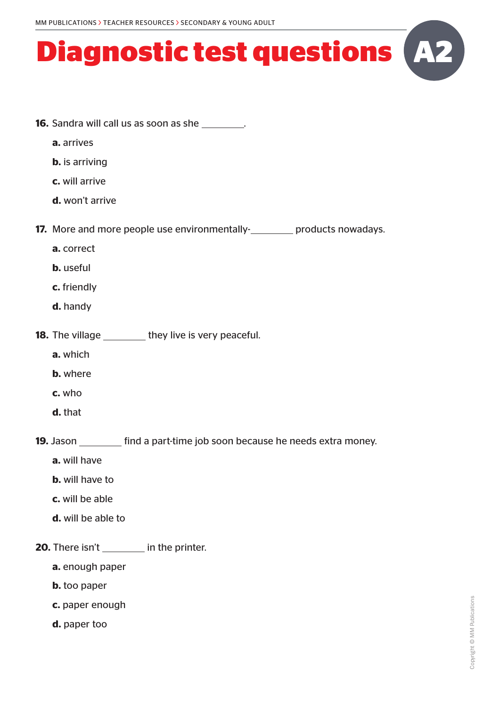

- **a.** arrives
- **b.** is arriving
- **c.** will arrive
- **d.** won't arrive

**17.** More and more people use environmentally-**products nowadays.** 

- **a.** correct
- **b.** useful
- **c.** friendly
- **d.** handy
- **18.** The village they live is very peaceful.
	- **a.** which
	- **b.** where
	- **c.** who
	- **d.** that

**19.** Jason \_\_\_\_\_\_\_\_\_ find a part-time job soon because he needs extra money.

- **a.** will have
- **b.** will have to
- **c.** will be able
- **d.** will be able to
- **20.** There isn't in the printer.
	- **a.** enough paper
	- **b.** too paper
	- **c.** paper enough
	- **d.** paper too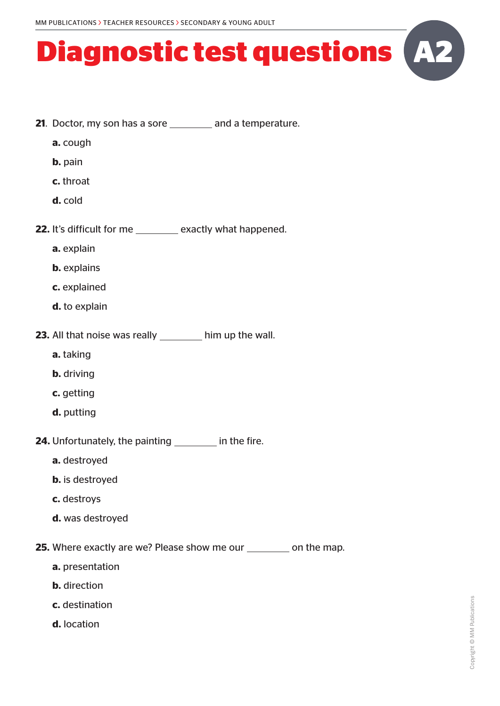- **21.** Doctor, my son has a sore and a temperature.
	- **a.** cough
	- **b.** pain
	- **c.** throat
	- **d.** cold
- **22.** It's difficult for me \_\_\_\_\_\_\_ exactly what happened.
	- **a.** explain
	- **b.** explains
	- **c.** explained
	- **d.** to explain
- **23.** All that noise was really \_\_\_\_\_\_\_ him up the wall.
	- **a.** taking
	- **b.** driving
	- **c.** getting
	- **d.** putting
- **24.** Unfortunately, the painting **in the fire.** 
	- **a.** destroyed
	- **b.** is destroyed
	- **c.** destroys
	- **d.** was destroyed
- **25.** Where exactly are we? Please show me our \_\_\_\_\_\_\_\_ on the map.
	- **a.** presentation
	- **b.** direction
	- **c.** destination
	- **d.** location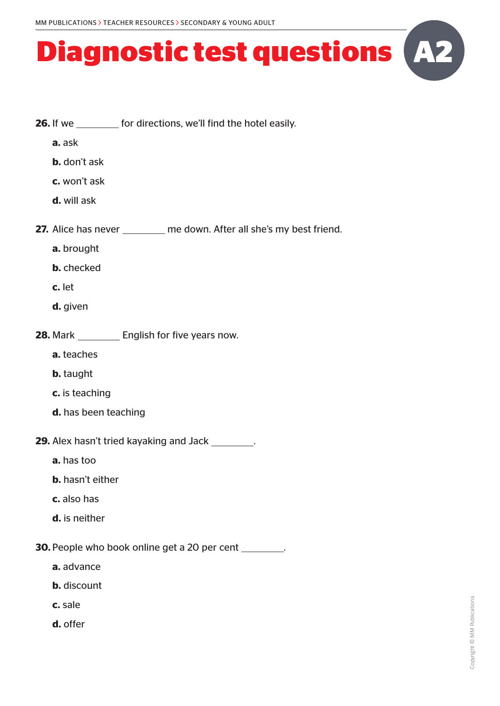- **26.** If we **for directions**, we'll find the hotel easily.
	- **a.** ask
	- **b.** don't ask
	- **c.** won't ask
	- **d.** will ask
- **27.** Alice has never \_\_\_\_\_\_\_\_ me down. After all she's my best friend.
	- **a.** brought
	- **b.** checked
	- **c.** let
	- **d.** given
- **28.** Mark English for five years now.
	- **a.** teaches
	- **b.** taught
	- **c.** is teaching
	- **d.** has been teaching
- **29.** Alex hasn't tried kayaking and Jack \_\_\_\_\_\_\_\_.
	- **a.** has too
	- **b.** hasn't either
	- **c.** also has
	- **d.** is neither
- **30.** People who book online get a 20 per cent \_\_\_\_\_\_\_\_.
	- **a.** advance
	- **b.** discount
	- **c.** sale
	- **d.** offer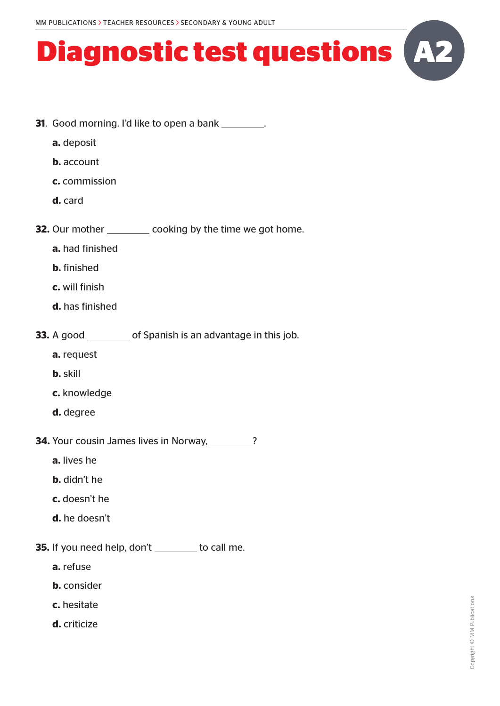- **31.** Good morning. I'd like to open a bank \_\_\_\_\_\_\_\_.
	- **a.** deposit
	- **b.** account
	- **c.** commission
	- **d.** card
- **32.** Our mother \_\_\_\_\_\_\_\_\_ cooking by the time we got home.
	- **a.** had finished
	- **b.** finished
	- **c.** will finish
	- **d.** has finished
- **33.** A good \_\_\_\_\_\_\_\_\_ of Spanish is an advantage in this job.
	- **a.** request
	- **b.** skill
	- **c.** knowledge
	- **d.** degree
- **34.** Your cousin James lives in Norway, 189. 189. [2015]
	- **a.** lives he
	- **b.** didn't he
	- **c.** doesn't he
	- **d.** he doesn't
- **35.** If you need help, don't \_\_\_\_\_\_\_ to call me.
	- **a.** refuse
	- **b.** consider
	- **c.** hesitate
	- **d.** criticize